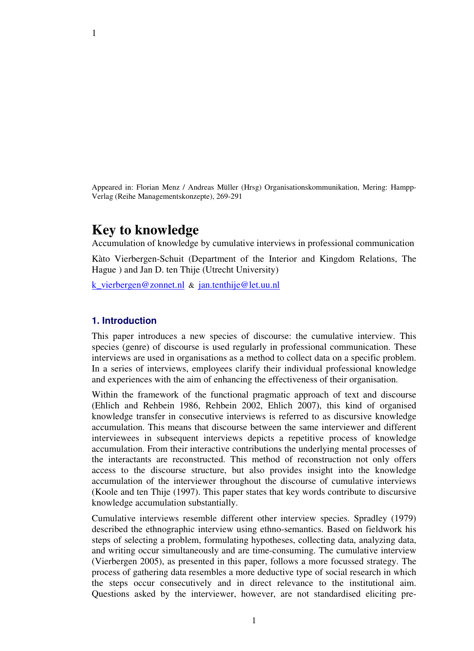Appeared in: Florian Menz / Andreas Müller (Hrsg) Organisationskommunikation, Mering: Hampp-Verlag (Reihe Managementskonzepte), 269-291

# **Key to knowledge**

Accumulation of knowledge by cumulative interviews in professional communication

Kàto Vierbergen-Schuit (Department of the Interior and Kingdom Relations, The Hague ) and Jan D. ten Thije (Utrecht University)

k\_vierbergen@zonnet.nl & jan.tenthije@let.uu.nl

## **1. Introduction**

This paper introduces a new species of discourse: the cumulative interview. This species (genre) of discourse is used regularly in professional communication. These interviews are used in organisations as a method to collect data on a specific problem. In a series of interviews, employees clarify their individual professional knowledge and experiences with the aim of enhancing the effectiveness of their organisation.

Within the framework of the functional pragmatic approach of text and discourse (Ehlich and Rehbein 1986, Rehbein 2002, Ehlich 2007), this kind of organised knowledge transfer in consecutive interviews is referred to as discursive knowledge accumulation. This means that discourse between the same interviewer and different interviewees in subsequent interviews depicts a repetitive process of knowledge accumulation. From their interactive contributions the underlying mental processes of the interactants are reconstructed. This method of reconstruction not only offers access to the discourse structure, but also provides insight into the knowledge accumulation of the interviewer throughout the discourse of cumulative interviews (Koole and ten Thije (1997). This paper states that key words contribute to discursive knowledge accumulation substantially.

Cumulative interviews resemble different other interview species. Spradley (1979) described the ethnographic interview using ethno-semantics. Based on fieldwork his steps of selecting a problem, formulating hypotheses, collecting data, analyzing data, and writing occur simultaneously and are time-consuming. The cumulative interview (Vierbergen 2005), as presented in this paper, follows a more focussed strategy. The process of gathering data resembles a more deductive type of social research in which the steps occur consecutively and in direct relevance to the institutional aim. Questions asked by the interviewer, however, are not standardised eliciting pre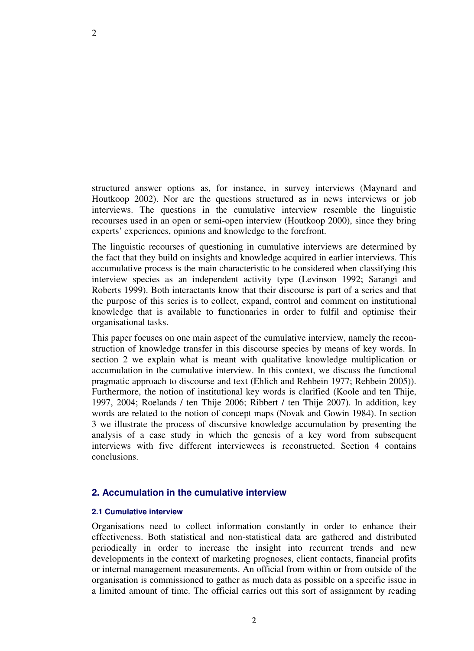structured answer options as, for instance, in survey interviews (Maynard and Houtkoop 2002). Nor are the questions structured as in news interviews or job interviews. The questions in the cumulative interview resemble the linguistic recourses used in an open or semi-open interview (Houtkoop 2000), since they bring experts' experiences, opinions and knowledge to the forefront.

The linguistic recourses of questioning in cumulative interviews are determined by the fact that they build on insights and knowledge acquired in earlier interviews. This accumulative process is the main characteristic to be considered when classifying this interview species as an independent activity type (Levinson 1992; Sarangi and Roberts 1999). Both interactants know that their discourse is part of a series and that the purpose of this series is to collect, expand, control and comment on institutional knowledge that is available to functionaries in order to fulfil and optimise their organisational tasks.

This paper focuses on one main aspect of the cumulative interview, namely the reconstruction of knowledge transfer in this discourse species by means of key words. In section 2 we explain what is meant with qualitative knowledge multiplication or accumulation in the cumulative interview. In this context, we discuss the functional pragmatic approach to discourse and text (Ehlich and Rehbein 1977; Rehbein 2005)). Furthermore, the notion of institutional key words is clarified (Koole and ten Thije, 1997, 2004; Roelands / ten Thije 2006; Ribbert / ten Thije 2007). In addition, key words are related to the notion of concept maps (Novak and Gowin 1984). In section 3 we illustrate the process of discursive knowledge accumulation by presenting the analysis of a case study in which the genesis of a key word from subsequent interviews with five different interviewees is reconstructed. Section 4 contains conclusions.

## **2. Accumulation in the cumulative interview**

## **2.1 Cumulative interview**

Organisations need to collect information constantly in order to enhance their effectiveness. Both statistical and non-statistical data are gathered and distributed periodically in order to increase the insight into recurrent trends and new developments in the context of marketing prognoses, client contacts, financial profits or internal management measurements. An official from within or from outside of the organisation is commissioned to gather as much data as possible on a specific issue in a limited amount of time. The official carries out this sort of assignment by reading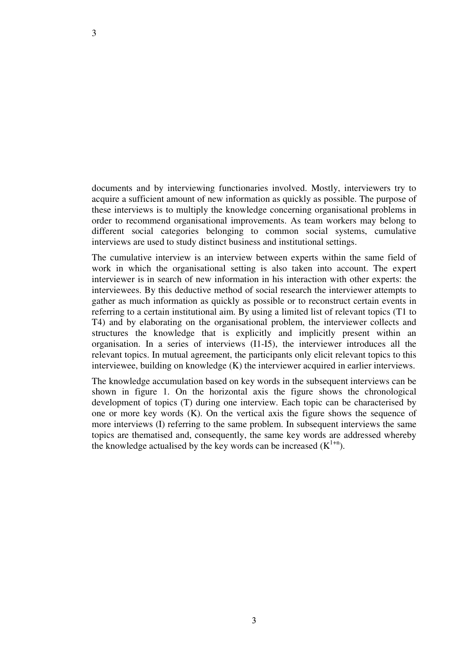documents and by interviewing functionaries involved. Mostly, interviewers try to acquire a sufficient amount of new information as quickly as possible. The purpose of these interviews is to multiply the knowledge concerning organisational problems in order to recommend organisational improvements. As team workers may belong to different social categories belonging to common social systems, cumulative interviews are used to study distinct business and institutional settings.

The cumulative interview is an interview between experts within the same field of work in which the organisational setting is also taken into account. The expert interviewer is in search of new information in his interaction with other experts: the interviewees. By this deductive method of social research the interviewer attempts to gather as much information as quickly as possible or to reconstruct certain events in referring to a certain institutional aim. By using a limited list of relevant topics (T1 to T4) and by elaborating on the organisational problem, the interviewer collects and structures the knowledge that is explicitly and implicitly present within an organisation. In a series of interviews (I1-I5), the interviewer introduces all the relevant topics. In mutual agreement, the participants only elicit relevant topics to this interviewee, building on knowledge (K) the interviewer acquired in earlier interviews.

The knowledge accumulation based on key words in the subsequent interviews can be shown in figure 1. On the horizontal axis the figure shows the chronological development of topics (T) during one interview. Each topic can be characterised by one or more key words (K). On the vertical axis the figure shows the sequence of more interviews (I) referring to the same problem. In subsequent interviews the same topics are thematised and, consequently, the same key words are addressed whereby the knowledge actualised by the key words can be increased  $(K^{1+n})$ .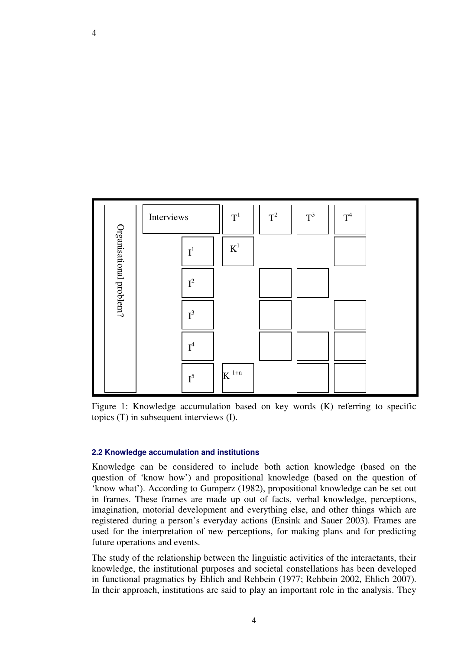

Figure 1: Knowledge accumulation based on key words (K) referring to specific topics (T) in subsequent interviews (I).

#### **2.2 Knowledge accumulation and institutions**

Knowledge can be considered to include both action knowledge (based on the question of 'know how') and propositional knowledge (based on the question of 'know what'). According to Gumperz (1982), propositional knowledge can be set out in frames. These frames are made up out of facts, verbal knowledge, perceptions, imagination, motorial development and everything else, and other things which are registered during a person's everyday actions (Ensink and Sauer 2003). Frames are used for the interpretation of new perceptions, for making plans and for predicting future operations and events.

The study of the relationship between the linguistic activities of the interactants, their knowledge, the institutional purposes and societal constellations has been developed in functional pragmatics by Ehlich and Rehbein (1977; Rehbein 2002, Ehlich 2007).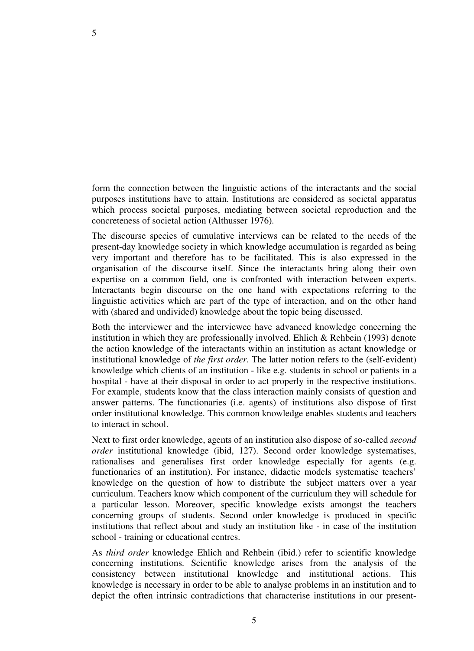form the connection between the linguistic actions of the interactants and the social purposes institutions have to attain. Institutions are considered as societal apparatus which process societal purposes, mediating between societal reproduction and the concreteness of societal action (Althusser 1976).

The discourse species of cumulative interviews can be related to the needs of the present-day knowledge society in which knowledge accumulation is regarded as being very important and therefore has to be facilitated. This is also expressed in the organisation of the discourse itself. Since the interactants bring along their own expertise on a common field, one is confronted with interaction between experts. Interactants begin discourse on the one hand with expectations referring to the linguistic activities which are part of the type of interaction, and on the other hand with (shared and undivided) knowledge about the topic being discussed.

Both the interviewer and the interviewee have advanced knowledge concerning the institution in which they are professionally involved. Ehlich & Rehbein (1993) denote the action knowledge of the interactants within an institution as actant knowledge or institutional knowledge of *the first order*. The latter notion refers to the (self-evident) knowledge which clients of an institution - like e.g. students in school or patients in a hospital - have at their disposal in order to act properly in the respective institutions. For example, students know that the class interaction mainly consists of question and answer patterns. The functionaries (i.e. agents) of institutions also dispose of first order institutional knowledge. This common knowledge enables students and teachers to interact in school.

Next to first order knowledge, agents of an institution also dispose of so-called *second order* institutional knowledge (ibid, 127). Second order knowledge systematises, rationalises and generalises first order knowledge especially for agents (e.g. functionaries of an institution). For instance, didactic models systematise teachers' knowledge on the question of how to distribute the subject matters over a year curriculum. Teachers know which component of the curriculum they will schedule for a particular lesson. Moreover, specific knowledge exists amongst the teachers concerning groups of students. Second order knowledge is produced in specific institutions that reflect about and study an institution like - in case of the institution school - training or educational centres.

As *third order* knowledge Ehlich and Rehbein (ibid.) refer to scientific knowledge concerning institutions. Scientific knowledge arises from the analysis of the consistency between institutional knowledge and institutional actions. This knowledge is necessary in order to be able to analyse problems in an institution and to depict the often intrinsic contradictions that characterise institutions in our present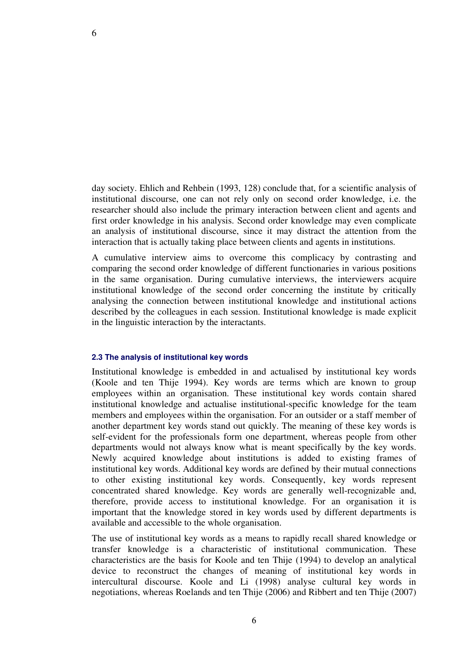day society. Ehlich and Rehbein (1993, 128) conclude that, for a scientific analysis of institutional discourse, one can not rely only on second order knowledge, i.e. the researcher should also include the primary interaction between client and agents and first order knowledge in his analysis. Second order knowledge may even complicate an analysis of institutional discourse, since it may distract the attention from the interaction that is actually taking place between clients and agents in institutions.

A cumulative interview aims to overcome this complicacy by contrasting and comparing the second order knowledge of different functionaries in various positions in the same organisation. During cumulative interviews, the interviewers acquire institutional knowledge of the second order concerning the institute by critically analysing the connection between institutional knowledge and institutional actions described by the colleagues in each session. Institutional knowledge is made explicit in the linguistic interaction by the interactants.

#### **2.3 The analysis of institutional key words**

Institutional knowledge is embedded in and actualised by institutional key words (Koole and ten Thije 1994). Key words are terms which are known to group employees within an organisation. These institutional key words contain shared institutional knowledge and actualise institutional-specific knowledge for the team members and employees within the organisation. For an outsider or a staff member of another department key words stand out quickly. The meaning of these key words is self-evident for the professionals form one department, whereas people from other departments would not always know what is meant specifically by the key words. Newly acquired knowledge about institutions is added to existing frames of institutional key words. Additional key words are defined by their mutual connections to other existing institutional key words. Consequently, key words represent concentrated shared knowledge. Key words are generally well-recognizable and, therefore, provide access to institutional knowledge. For an organisation it is important that the knowledge stored in key words used by different departments is available and accessible to the whole organisation.

The use of institutional key words as a means to rapidly recall shared knowledge or transfer knowledge is a characteristic of institutional communication. These characteristics are the basis for Koole and ten Thije (1994) to develop an analytical device to reconstruct the changes of meaning of institutional key words in intercultural discourse. Koole and Li (1998) analyse cultural key words in negotiations, whereas Roelands and ten Thije (2006) and Ribbert and ten Thije (2007)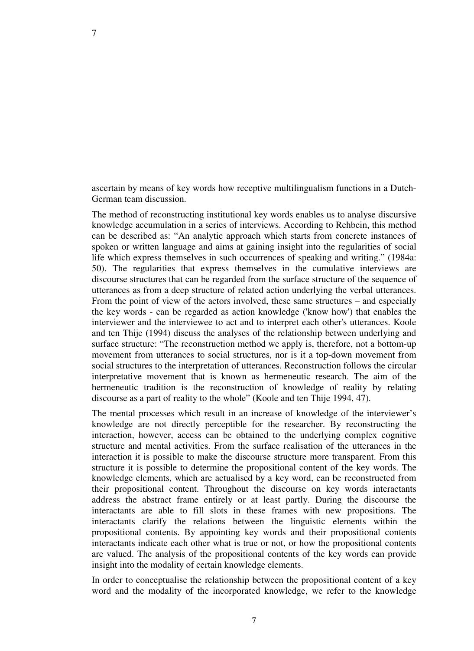ascertain by means of key words how receptive multilingualism functions in a Dutch-German team discussion.

7

The method of reconstructing institutional key words enables us to analyse discursive knowledge accumulation in a series of interviews. According to Rehbein, this method can be described as: "An analytic approach which starts from concrete instances of spoken or written language and aims at gaining insight into the regularities of social life which express themselves in such occurrences of speaking and writing." (1984a: 50). The regularities that express themselves in the cumulative interviews are discourse structures that can be regarded from the surface structure of the sequence of utterances as from a deep structure of related action underlying the verbal utterances. From the point of view of the actors involved, these same structures – and especially the key words - can be regarded as action knowledge ('know how') that enables the interviewer and the interviewee to act and to interpret each other's utterances. Koole and ten Thije (1994) discuss the analyses of the relationship between underlying and surface structure: "The reconstruction method we apply is, therefore, not a bottom-up movement from utterances to social structures, nor is it a top-down movement from social structures to the interpretation of utterances. Reconstruction follows the circular interpretative movement that is known as hermeneutic research. The aim of the hermeneutic tradition is the reconstruction of knowledge of reality by relating discourse as a part of reality to the whole" (Koole and ten Thije 1994, 47).

The mental processes which result in an increase of knowledge of the interviewer's knowledge are not directly perceptible for the researcher. By reconstructing the interaction, however, access can be obtained to the underlying complex cognitive structure and mental activities. From the surface realisation of the utterances in the interaction it is possible to make the discourse structure more transparent. From this structure it is possible to determine the propositional content of the key words. The knowledge elements, which are actualised by a key word, can be reconstructed from their propositional content. Throughout the discourse on key words interactants address the abstract frame entirely or at least partly. During the discourse the interactants are able to fill slots in these frames with new propositions. The interactants clarify the relations between the linguistic elements within the propositional contents. By appointing key words and their propositional contents interactants indicate each other what is true or not, or how the propositional contents are valued. The analysis of the propositional contents of the key words can provide insight into the modality of certain knowledge elements.

In order to conceptualise the relationship between the propositional content of a key word and the modality of the incorporated knowledge, we refer to the knowledge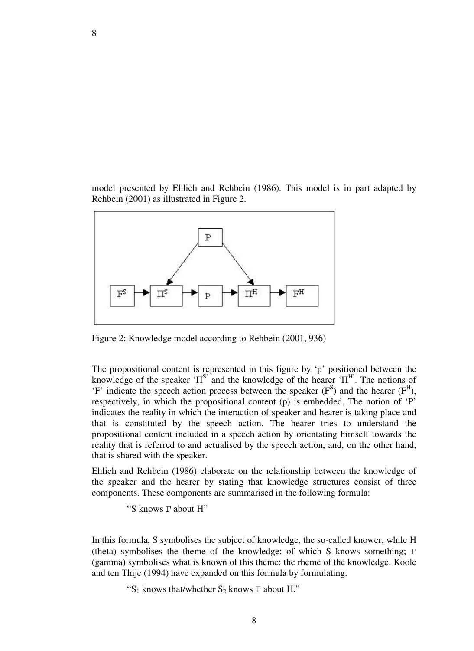model presented by Ehlich and Rehbein (1986). This model is in part adapted by Rehbein (2001) as illustrated in Figure 2.



Figure 2: Knowledge model according to Rehbein (2001, 936)

The propositional content is represented in this figure by 'p' positioned between the knowledge of the speaker ' $\Pi^{S}$  and the knowledge of the hearer ' $\Pi^{H}$ . The notions of 'F' indicate the speech action process between the speaker  $(F^S)$  and the hearer  $(F^H)$ , respectively, in which the propositional content (p) is embedded. The notion of 'P' indicates the reality in which the interaction of speaker and hearer is taking place and that is constituted by the speech action. The hearer tries to understand the propositional content included in a speech action by orientating himself towards the reality that is referred to and actualised by the speech action, and, on the other hand, that is shared with the speaker.

Ehlich and Rehbein (1986) elaborate on the relationship between the knowledge of the speaker and the hearer by stating that knowledge structures consist of three components. These components are summarised in the following formula:

"S knows Γ about Η"

In this formula, S symbolises the subject of knowledge, the so-called knower, while Η (theta) symbolises the theme of the knowledge: of which S knows something; Γ (gamma) symbolises what is known of this theme: the rheme of the knowledge. Koole and ten Thije (1994) have expanded on this formula by formulating:

"S<sub>1</sub> knows that/whether S<sub>2</sub> knows  $\Gamma$  about H."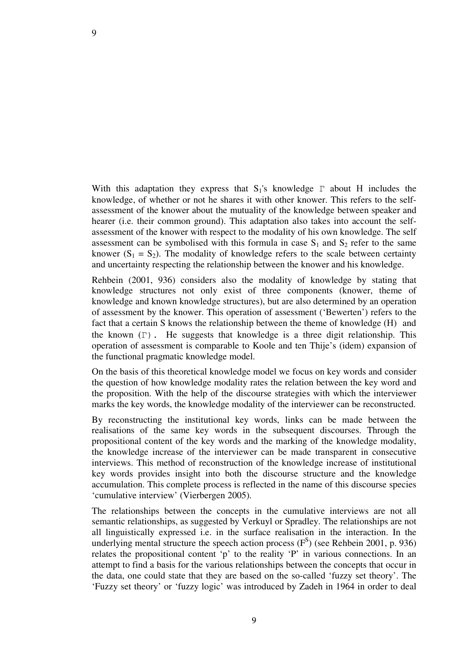With this adaptation they express that  $S_1$ 's knowledge  $\Gamma$  about H includes the knowledge, of whether or not he shares it with other knower. This refers to the selfassessment of the knower about the mutuality of the knowledge between speaker and hearer (i.e. their common ground). This adaptation also takes into account the selfassessment of the knower with respect to the modality of his own knowledge. The self assessment can be symbolised with this formula in case  $S_1$  and  $S_2$  refer to the same knower  $(S_1 = S_2)$ . The modality of knowledge refers to the scale between certainty and uncertainty respecting the relationship between the knower and his knowledge.

Rehbein (2001, 936) considers also the modality of knowledge by stating that knowledge structures not only exist of three components (knower, theme of knowledge and known knowledge structures), but are also determined by an operation of assessment by the knower. This operation of assessment ('Bewerten') refers to the fact that a certain S knows the relationship between the theme of knowledge (Η) and the known  $(\Gamma)$ . He suggests that knowledge is a three digit relationship. This operation of assessment is comparable to Koole and ten Thije's (idem) expansion of the functional pragmatic knowledge model.

On the basis of this theoretical knowledge model we focus on key words and consider the question of how knowledge modality rates the relation between the key word and the proposition. With the help of the discourse strategies with which the interviewer marks the key words, the knowledge modality of the interviewer can be reconstructed.

By reconstructing the institutional key words, links can be made between the realisations of the same key words in the subsequent discourses. Through the propositional content of the key words and the marking of the knowledge modality, the knowledge increase of the interviewer can be made transparent in consecutive interviews. This method of reconstruction of the knowledge increase of institutional key words provides insight into both the discourse structure and the knowledge accumulation. This complete process is reflected in the name of this discourse species 'cumulative interview' (Vierbergen 2005).

The relationships between the concepts in the cumulative interviews are not all semantic relationships, as suggested by Verkuyl or Spradley. The relationships are not all linguistically expressed i.e. in the surface realisation in the interaction. In the underlying mental structure the speech action process  $(F<sup>S</sup>)$  (see Rehbein 2001, p. 936) relates the propositional content 'p' to the reality 'P' in various connections. In an attempt to find a basis for the various relationships between the concepts that occur in the data, one could state that they are based on the so-called 'fuzzy set theory'. The 'Fuzzy set theory' or 'fuzzy logic' was introduced by Zadeh in 1964 in order to deal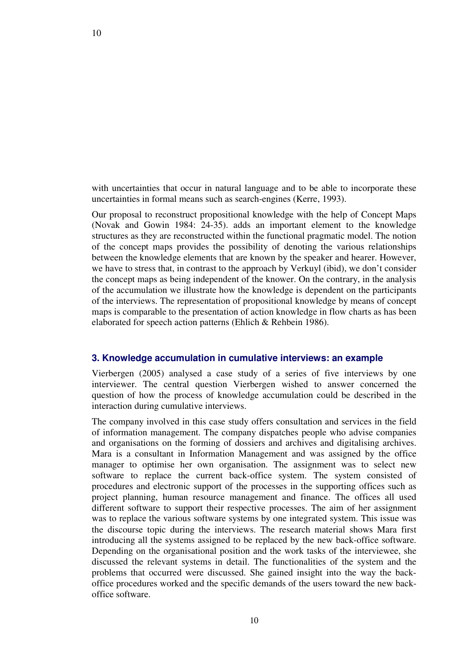with uncertainties that occur in natural language and to be able to incorporate these uncertainties in formal means such as search-engines (Kerre, 1993).

Our proposal to reconstruct propositional knowledge with the help of Concept Maps (Novak and Gowin 1984: 24-35). adds an important element to the knowledge structures as they are reconstructed within the functional pragmatic model. The notion of the concept maps provides the possibility of denoting the various relationships between the knowledge elements that are known by the speaker and hearer. However, we have to stress that, in contrast to the approach by Verkuyl (ibid), we don't consider the concept maps as being independent of the knower. On the contrary, in the analysis of the accumulation we illustrate how the knowledge is dependent on the participants of the interviews. The representation of propositional knowledge by means of concept maps is comparable to the presentation of action knowledge in flow charts as has been elaborated for speech action patterns (Ehlich & Rehbein 1986).

#### **3. Knowledge accumulation in cumulative interviews: an example**

Vierbergen (2005) analysed a case study of a series of five interviews by one interviewer. The central question Vierbergen wished to answer concerned the question of how the process of knowledge accumulation could be described in the interaction during cumulative interviews.

The company involved in this case study offers consultation and services in the field of information management. The company dispatches people who advise companies and organisations on the forming of dossiers and archives and digitalising archives. Mara is a consultant in Information Management and was assigned by the office manager to optimise her own organisation. The assignment was to select new software to replace the current back-office system. The system consisted of procedures and electronic support of the processes in the supporting offices such as project planning, human resource management and finance. The offices all used different software to support their respective processes. The aim of her assignment was to replace the various software systems by one integrated system. This issue was the discourse topic during the interviews. The research material shows Mara first introducing all the systems assigned to be replaced by the new back-office software. Depending on the organisational position and the work tasks of the interviewee, she discussed the relevant systems in detail. The functionalities of the system and the problems that occurred were discussed. She gained insight into the way the backoffice procedures worked and the specific demands of the users toward the new backoffice software.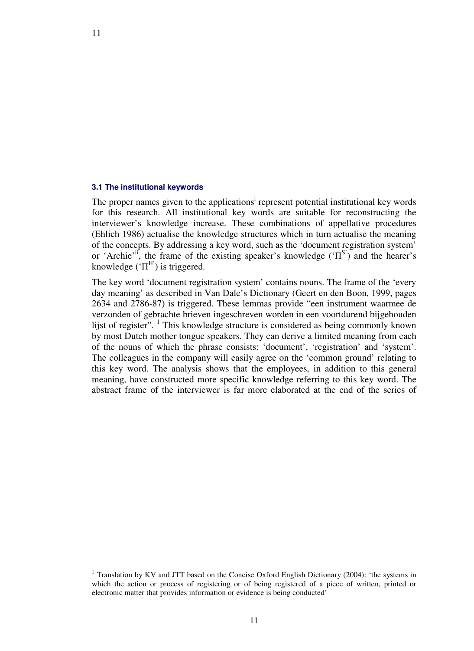#### **3.1 The institutional keywords**

11

-

The proper names given to the applications<sup>i</sup> represent potential institutional key words for this research. All institutional key words are suitable for reconstructing the interviewer's knowledge increase. These combinations of appellative procedures (Ehlich 1986) actualise the knowledge structures which in turn actualise the meaning of the concepts. By addressing a key word, such as the 'document registration system' or 'Archie'<sup>ii</sup>, the frame of the existing speaker's knowledge  $(TS)$  and the hearer's knowledge  $({^{t}\Pi}^H)$  is triggered.

The key word 'document registration system' contains nouns. The frame of the 'every day meaning' as described in Van Dale's Dictionary (Geert en den Boon, 1999, pages 2634 and 2786-87) is triggered. These lemmas provide "een instrument waarmee de verzonden of gebrachte brieven ingeschreven worden in een voortdurend bijgehouden lijst of register". <sup>1</sup> This knowledge structure is considered as being commonly known by most Dutch mother tongue speakers. They can derive a limited meaning from each of the nouns of which the phrase consists: 'document', 'registration' and 'system'. The colleagues in the company will easily agree on the 'common ground' relating to this key word. The analysis shows that the employees, in addition to this general meaning, have constructed more specific knowledge referring to this key word. The abstract frame of the interviewer is far more elaborated at the end of the series of

11

<sup>&</sup>lt;sup>1</sup> Translation by KV and JTT based on the Concise Oxford English Dictionary (2004): 'the systems in which the action or process of registering or of being registered of a piece of written, printed or electronic matter that provides information or evidence is being conducted'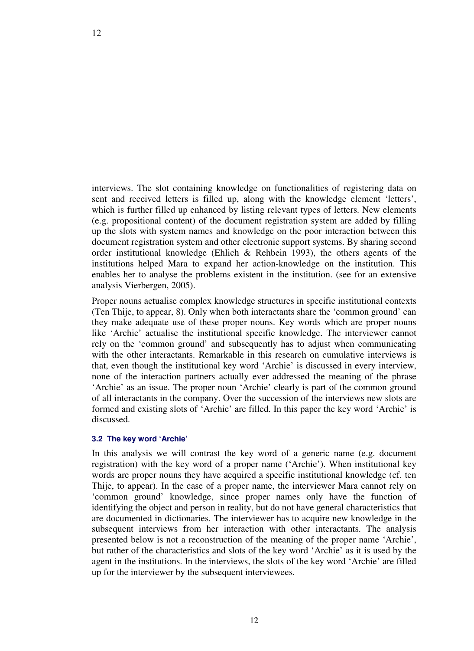interviews. The slot containing knowledge on functionalities of registering data on sent and received letters is filled up, along with the knowledge element 'letters', which is further filled up enhanced by listing relevant types of letters. New elements (e.g. propositional content) of the document registration system are added by filling up the slots with system names and knowledge on the poor interaction between this document registration system and other electronic support systems. By sharing second order institutional knowledge (Ehlich  $\&$  Rehbein 1993), the others agents of the institutions helped Mara to expand her action-knowledge on the institution. This enables her to analyse the problems existent in the institution. (see for an extensive analysis Vierbergen, 2005).

Proper nouns actualise complex knowledge structures in specific institutional contexts (Ten Thije, to appear, 8). Only when both interactants share the 'common ground' can they make adequate use of these proper nouns. Key words which are proper nouns like 'Archie' actualise the institutional specific knowledge. The interviewer cannot rely on the 'common ground' and subsequently has to adjust when communicating with the other interactants. Remarkable in this research on cumulative interviews is that, even though the institutional key word 'Archie' is discussed in every interview, none of the interaction partners actually ever addressed the meaning of the phrase 'Archie' as an issue. The proper noun 'Archie' clearly is part of the common ground of all interactants in the company. Over the succession of the interviews new slots are formed and existing slots of 'Archie' are filled. In this paper the key word 'Archie' is discussed.

#### **3.2 The key word 'Archie'**

In this analysis we will contrast the key word of a generic name (e.g. document registration) with the key word of a proper name ('Archie'). When institutional key words are proper nouns they have acquired a specific institutional knowledge (cf. ten Thije, to appear). In the case of a proper name, the interviewer Mara cannot rely on 'common ground' knowledge, since proper names only have the function of identifying the object and person in reality, but do not have general characteristics that are documented in dictionaries. The interviewer has to acquire new knowledge in the subsequent interviews from her interaction with other interactants. The analysis presented below is not a reconstruction of the meaning of the proper name 'Archie', but rather of the characteristics and slots of the key word 'Archie' as it is used by the agent in the institutions. In the interviews, the slots of the key word 'Archie' are filled up for the interviewer by the subsequent interviewees.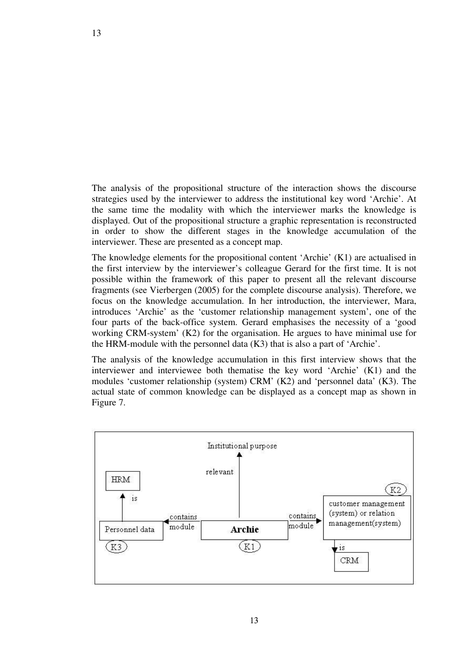The analysis of the propositional structure of the interaction shows the discourse strategies used by the interviewer to address the institutional key word 'Archie'. At the same time the modality with which the interviewer marks the knowledge is displayed. Out of the propositional structure a graphic representation is reconstructed in order to show the different stages in the knowledge accumulation of the interviewer. These are presented as a concept map.

The knowledge elements for the propositional content 'Archie' (K1) are actualised in the first interview by the interviewer's colleague Gerard for the first time. It is not possible within the framework of this paper to present all the relevant discourse fragments (see Vierbergen (2005) for the complete discourse analysis). Therefore, we focus on the knowledge accumulation. In her introduction, the interviewer, Mara, introduces 'Archie' as the 'customer relationship management system', one of the four parts of the back-office system. Gerard emphasises the necessity of a 'good working CRM-system' (K2) for the organisation. He argues to have minimal use for the HRM-module with the personnel data (K3) that is also a part of 'Archie'.

The analysis of the knowledge accumulation in this first interview shows that the interviewer and interviewee both thematise the key word 'Archie' (K1) and the modules 'customer relationship (system) CRM' (K2) and 'personnel data' (K3). The actual state of common knowledge can be displayed as a concept map as shown in Figure 7.

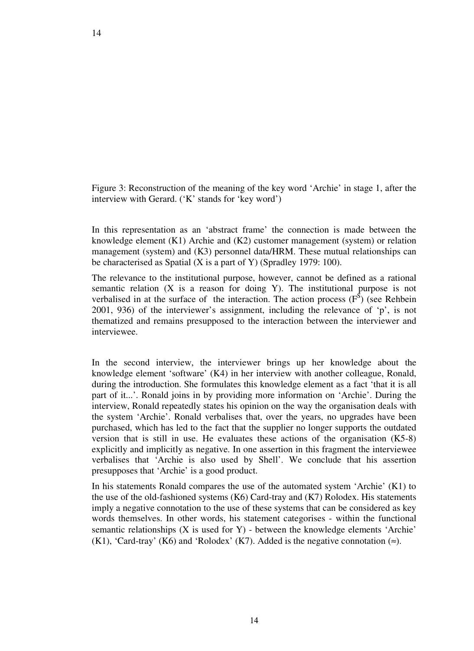Figure 3: Reconstruction of the meaning of the key word 'Archie' in stage 1, after the interview with Gerard. ('K' stands for 'key word')

In this representation as an 'abstract frame' the connection is made between the knowledge element (K1) Archie and (K2) customer management (system) or relation management (system) and (K3) personnel data/HRM. These mutual relationships can be characterised as Spatial (X is a part of Y) (Spradley 1979: 100).

The relevance to the institutional purpose, however, cannot be defined as a rational semantic relation (X is a reason for doing Y). The institutional purpose is not verbalised in at the surface of the interaction. The action process  $(F^S)$  (see Rehbein 2001, 936) of the interviewer's assignment, including the relevance of 'p', is not thematized and remains presupposed to the interaction between the interviewer and interviewee.

In the second interview, the interviewer brings up her knowledge about the knowledge element 'software' (K4) in her interview with another colleague, Ronald, during the introduction. She formulates this knowledge element as a fact 'that it is all part of it...'. Ronald joins in by providing more information on 'Archie'. During the interview, Ronald repeatedly states his opinion on the way the organisation deals with the system 'Archie'. Ronald verbalises that, over the years, no upgrades have been purchased, which has led to the fact that the supplier no longer supports the outdated version that is still in use. He evaluates these actions of the organisation (K5-8) explicitly and implicitly as negative. In one assertion in this fragment the interviewee verbalises that 'Archie is also used by Shell'. We conclude that his assertion presupposes that 'Archie' is a good product.

In his statements Ronald compares the use of the automated system 'Archie' (K1) to the use of the old-fashioned systems (K6) Card-tray and (K7) Rolodex. His statements imply a negative connotation to the use of these systems that can be considered as key words themselves. In other words, his statement categorises - within the functional semantic relationships (X is used for Y) - between the knowledge elements 'Archie' (K1), 'Card-tray' (K6) and 'Rolodex' (K7). Added is the negative connotation  $(\approx)$ .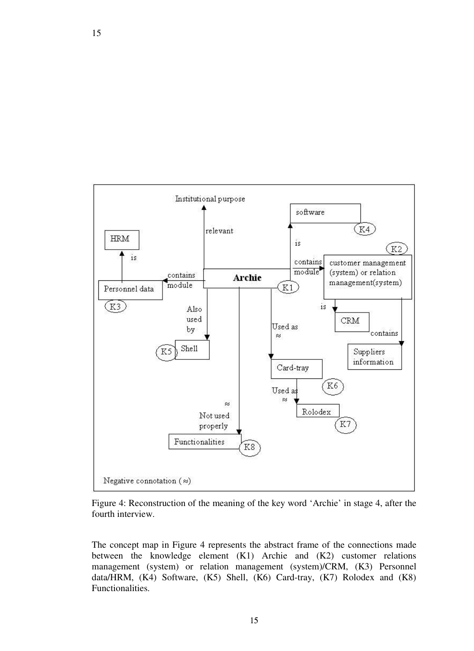

Figure 4: Reconstruction of the meaning of the key word 'Archie' in stage 4, after the fourth interview.

The concept map in Figure 4 represents the abstract frame of the connections made between the knowledge element (K1) Archie and (K2) customer relations management (system) or relation management (system)/CRM, (K3) Personnel data/HRM, (K4) Software, (K5) Shell, (K6) Card-tray, (K7) Rolodex and (K8) Functionalities.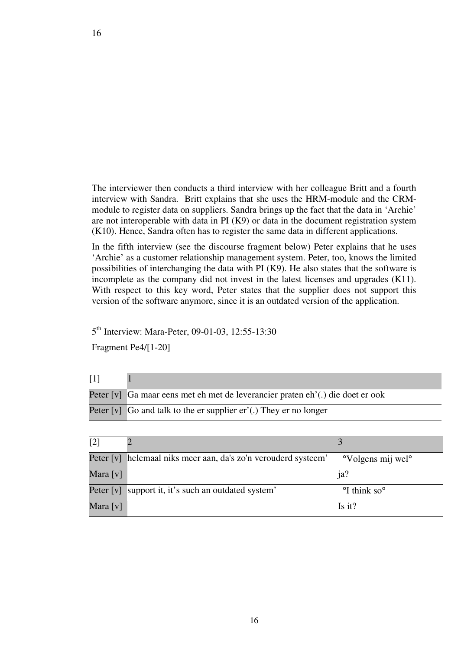The interviewer then conducts a third interview with her colleague Britt and a fourth interview with Sandra. Britt explains that she uses the HRM-module and the CRMmodule to register data on suppliers. Sandra brings up the fact that the data in 'Archie' are not interoperable with data in PI (K9) or data in the document registration system (K10). Hence, Sandra often has to register the same data in different applications.

In the fifth interview (see the discourse fragment below) Peter explains that he uses 'Archie' as a customer relationship management system. Peter, too, knows the limited possibilities of interchanging the data with PI (K9). He also states that the software is incomplete as the company did not invest in the latest licenses and upgrades (K11). With respect to this key word, Peter states that the supplier does not support this version of the software anymore, since it is an outdated version of the application.

5<sup>th</sup> Interview: Mara-Peter, 09-01-03, 12:55-13:30

Fragment Pe4/[1-20]

| $\lceil 1 \rceil$ |                                                                                |
|-------------------|--------------------------------------------------------------------------------|
|                   | Peter [v] Ga maar eens met eh met de leverancier praten eh'(.) die doet er ook |
|                   | Peter $[v]$ Go and talk to the er supplier $er'(.)$ They er no longer          |
|                   |                                                                                |
| $\lceil 2 \rceil$ |                                                                                |

| $\sim$ 1 |                                                                |                                           |
|----------|----------------------------------------------------------------|-------------------------------------------|
|          | Peter [v] helemaal niks meer aan, da's zo'n verouderd systeem' | <sup>o</sup> Volgens mij wel <sup>o</sup> |
| Mara [v] |                                                                | ja?                                       |
|          | Peter [v] support it, it's such an outdated system'            | <sup>o</sup> I think so <sup>o</sup>      |
| Mara [v] |                                                                | $Is$ it?                                  |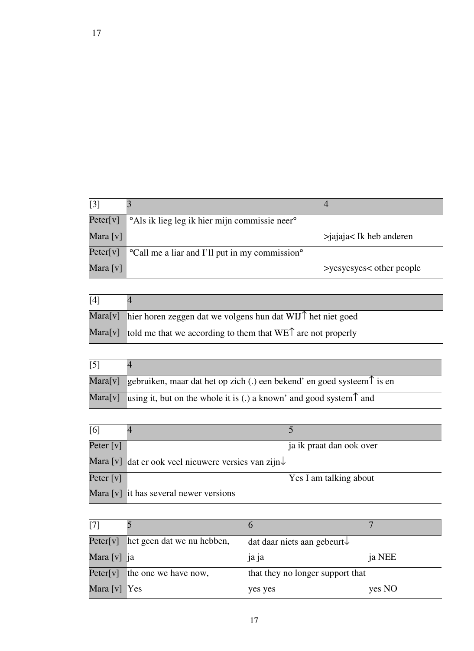| $\lceil 3 \rceil$ |                                                                        |                            |
|-------------------|------------------------------------------------------------------------|----------------------------|
| Peter[v]          | <sup>o</sup> Als ik lieg leg ik hier mijn commissie neer <sup>o</sup>  |                            |
| Mara [v]          |                                                                        | $>$ jajaja< Ik heb anderen |
| Peter[v]          | <sup>o</sup> Call me a liar and I'll put in my commission <sup>o</sup> |                            |
| Mara [v]          |                                                                        | >yesyesyes< other people   |

| [4] |                                                                               |
|-----|-------------------------------------------------------------------------------|
|     | Mara[v] hier horen zeggen dat we volgens hun dat WIJ $\uparrow$ het niet goed |
|     | Mara[v] told me that we according to them that $WE\hat{T}$ are not properly   |

| $\lceil 5 \rceil$ |                                                                                          |
|-------------------|------------------------------------------------------------------------------------------|
|                   | Mara[v] gebruiken, maar dat het op zich (.) een bekend' en goed systeem $\uparrow$ is en |
|                   | Mara[v] using it, but on the whole it is (.) a known' and good system $\uparrow$ and     |

| [6]         |                                                                 |                          |
|-------------|-----------------------------------------------------------------|--------------------------|
| Peter $[v]$ |                                                                 | ja ik praat dan ook over |
|             | Mara [v] dat er ook veel nieuwere versies van zijn $\downarrow$ |                          |
| Peter $[v]$ |                                                                 | Yes I am talking about   |
|             | Mara [v] it has several newer versions                          |                          |

| $[7]$        |                            |                                         |        |
|--------------|----------------------------|-----------------------------------------|--------|
| Peter[v]     | het geen dat we nu hebben, | dat daar niets aan gebeurt $\downarrow$ |        |
| Mara [v] ja  |                            | 1a1a                                    | ja NEE |
| Peter[v]     | the one we have now,       | that they no longer support that        |        |
| Mara [v] Yes |                            | yes yes                                 | yes NO |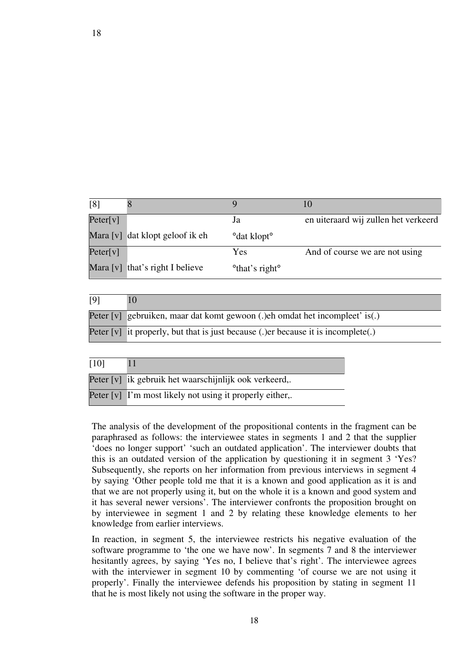| [8]      | $\circ$                         |                             | 10                                   |
|----------|---------------------------------|-----------------------------|--------------------------------------|
| Peter[v] |                                 | Ja                          | en uiteraard wij zullen het verkeerd |
|          | Mara [v] dat klopt geloof ik eh | ° dat klopt°                |                                      |
| Peter[v] |                                 | Yes                         | And of course we are not using       |
|          | Mara [v] that's right I believe | ° that's right <sup>o</sup> |                                      |

| [9] |                                                                                      |
|-----|--------------------------------------------------------------------------------------|
|     | Peter [v] gebruiken, maar dat komt gewoon (.) eh omdat het incompleet' is(.)         |
|     | Peter $[v]$ it properly, but that is just because (.) er because it is incomplete(.) |

| [10] |                                                          |
|------|----------------------------------------------------------|
|      | Peter [v] ik gebruik het waarschijnlijk ook verkeerd,.   |
|      | Peter [v] I'm most likely not using it properly either,. |

The analysis of the development of the propositional contents in the fragment can be paraphrased as follows: the interviewee states in segments 1 and 2 that the supplier 'does no longer support' 'such an outdated application'. The interviewer doubts that this is an outdated version of the application by questioning it in segment 3 'Yes? Subsequently, she reports on her information from previous interviews in segment 4 by saying 'Other people told me that it is a known and good application as it is and that we are not properly using it, but on the whole it is a known and good system and it has several newer versions'. The interviewer confronts the proposition brought on by interviewee in segment 1 and 2 by relating these knowledge elements to her knowledge from earlier interviews.

In reaction, in segment 5, the interviewee restricts his negative evaluation of the software programme to 'the one we have now'. In segments 7 and 8 the interviewer hesitantly agrees, by saying 'Yes no, I believe that's right'. The interviewee agrees with the interviewer in segment 10 by commenting 'of course we are not using it properly'. Finally the interviewee defends his proposition by stating in segment 11 that he is most likely not using the software in the proper way.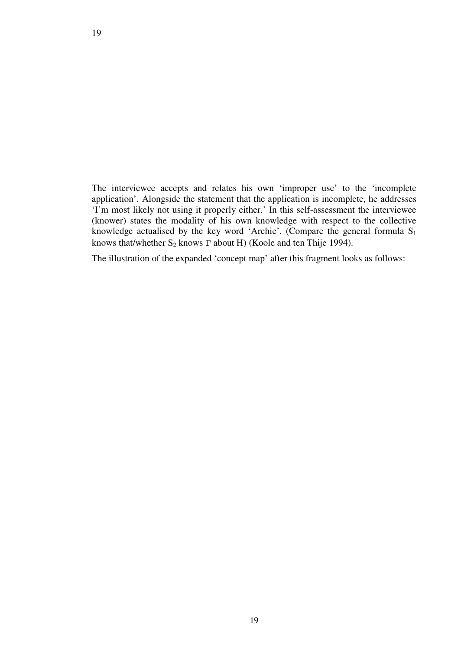The interviewee accepts and relates his own 'improper use' to the 'incomplete application'. Alongside the statement that the application is incomplete, he addresses 'I'm most likely not using it properly either.' In this self-assessment the interviewee (knower) states the modality of his own knowledge with respect to the collective knowledge actualised by the key word 'Archie'. (Compare the general formula  $S_1$ ) knows that/whether  $S_2$  knows  $\Gamma$  about H) (Koole and ten Thije 1994).

The illustration of the expanded 'concept map' after this fragment looks as follows: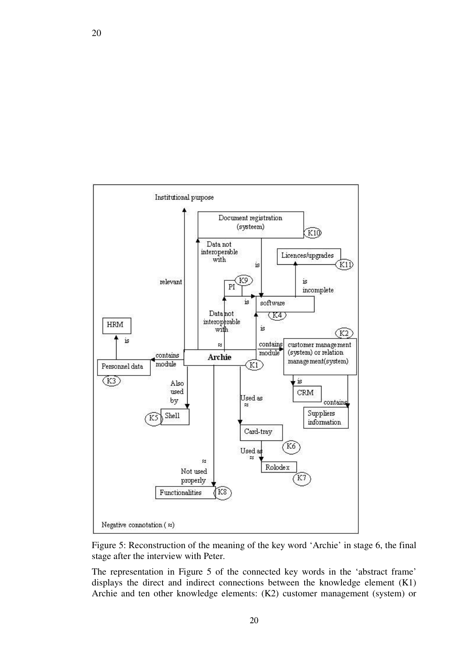

Figure 5: Reconstruction of the meaning of the key word 'Archie' in stage 6, the final stage after the interview with Peter.

The representation in Figure 5 of the connected key words in the 'abstract frame' displays the direct and indirect connections between the knowledge element (K1) Archie and ten other knowledge elements: (K2) customer management (system) or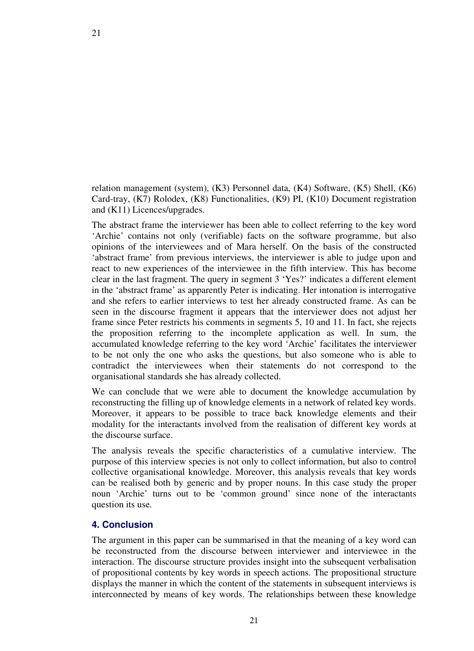relation management (system), (K3) Personnel data, (K4) Software, (K5) Shell, (K6) Card-tray, (K7) Rolodex, (K8) Functionalities, (K9) PI, (K10) Document registration and (K11) Licences/upgrades.

The abstract frame the interviewer has been able to collect referring to the key word 'Archie' contains not only (verifiable) facts on the software programme, but also opinions of the interviewees and of Mara herself. On the basis of the constructed 'abstract frame' from previous interviews, the interviewer is able to judge upon and react to new experiences of the interviewee in the fifth interview. This has become clear in the last fragment. The query in segment 3 'Yes?' indicates a different element in the 'abstract frame' as apparently Peter is indicating. Her intonation is interrogative and she refers to earlier interviews to test her already constructed frame. As can be seen in the discourse fragment it appears that the interviewer does not adjust her frame since Peter restricts his comments in segments 5, 10 and 11. In fact, she rejects the proposition referring to the incomplete application as well. In sum, the accumulated knowledge referring to the key word 'Archie' facilitates the interviewer to be not only the one who asks the questions, but also someone who is able to contradict the interviewees when their statements do not correspond to the organisational standards she has already collected.

We can conclude that we were able to document the knowledge accumulation by reconstructing the filling up of knowledge elements in a network of related key words. Moreover, it appears to be possible to trace back knowledge elements and their modality for the interactants involved from the realisation of different key words at the discourse surface.

The analysis reveals the specific characteristics of a cumulative interview. The purpose of this interview species is not only to collect information, but also to control collective organisational knowledge. Moreover, this analysis reveals that key words can be realised both by generic and by proper nouns. In this case study the proper noun 'Archie' turns out to be 'common ground' since none of the interactants question its use.

# **4. Conclusion**

The argument in this paper can be summarised in that the meaning of a key word can be reconstructed from the discourse between interviewer and interviewee in the interaction. The discourse structure provides insight into the subsequent verbalisation of propositional contents by key words in speech actions. The propositional structure displays the manner in which the content of the statements in subsequent interviews is interconnected by means of key words. The relationships between these knowledge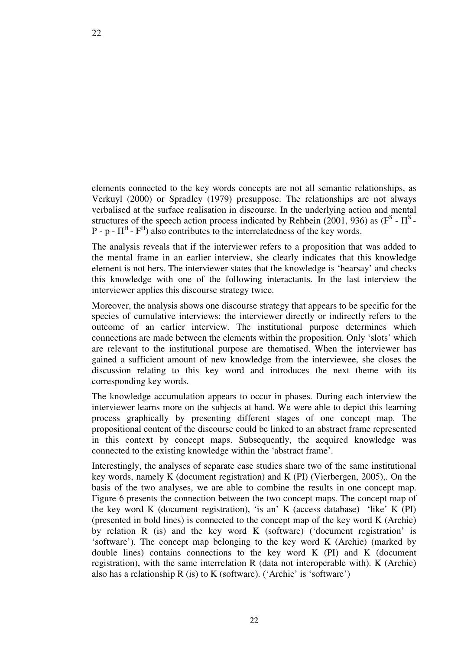elements connected to the key words concepts are not all semantic relationships, as Verkuyl (2000) or Spradley (1979) presuppose. The relationships are not always verbalised at the surface realisation in discourse. In the underlying action and mental structures of the speech action process indicated by Rehbein (2001, 936) as ( $F^S$  -  $\Pi^S$  - $P - p - \Pi^H - F^H$ ) also contributes to the interrelatedness of the key words.

The analysis reveals that if the interviewer refers to a proposition that was added to the mental frame in an earlier interview, she clearly indicates that this knowledge element is not hers. The interviewer states that the knowledge is 'hearsay' and checks this knowledge with one of the following interactants. In the last interview the interviewer applies this discourse strategy twice.

Moreover, the analysis shows one discourse strategy that appears to be specific for the species of cumulative interviews: the interviewer directly or indirectly refers to the outcome of an earlier interview. The institutional purpose determines which connections are made between the elements within the proposition. Only 'slots' which are relevant to the institutional purpose are thematised. When the interviewer has gained a sufficient amount of new knowledge from the interviewee, she closes the discussion relating to this key word and introduces the next theme with its corresponding key words.

The knowledge accumulation appears to occur in phases. During each interview the interviewer learns more on the subjects at hand. We were able to depict this learning process graphically by presenting different stages of one concept map. The propositional content of the discourse could be linked to an abstract frame represented in this context by concept maps. Subsequently, the acquired knowledge was connected to the existing knowledge within the 'abstract frame'.

Interestingly, the analyses of separate case studies share two of the same institutional key words, namely K (document registration) and K (PI) (Vierbergen, 2005),. On the basis of the two analyses, we are able to combine the results in one concept map. Figure 6 presents the connection between the two concept maps. The concept map of the key word K (document registration), 'is an' K (access database) 'like' K (PI) (presented in bold lines) is connected to the concept map of the key word K (Archie) by relation R (is) and the key word K (software) ('document registration' is 'software'). The concept map belonging to the key word K (Archie) (marked by double lines) contains connections to the key word  $K$  (PI) and  $K$  (document registration), with the same interrelation R (data not interoperable with). K (Archie) also has a relationship  $R$  (is) to  $K$  (software). ('Archie' is 'software')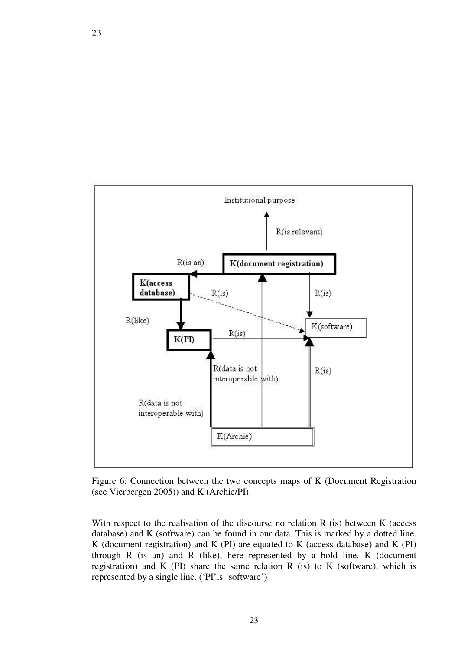

Figure 6: Connection between the two concepts maps of K (Document Registration (see Vierbergen 2005)) and K (Archie/PI).

With respect to the realisation of the discourse no relation R (is) between K (access database) and K (software) can be found in our data. This is marked by a dotted line. K (document registration) and K (PI) are equated to K (access database) and K (PI) through R (is an) and R (like), here represented by a bold line. K (document registration) and K (PI) share the same relation R (is) to K (software), which is represented by a single line. ('PI' is 'software')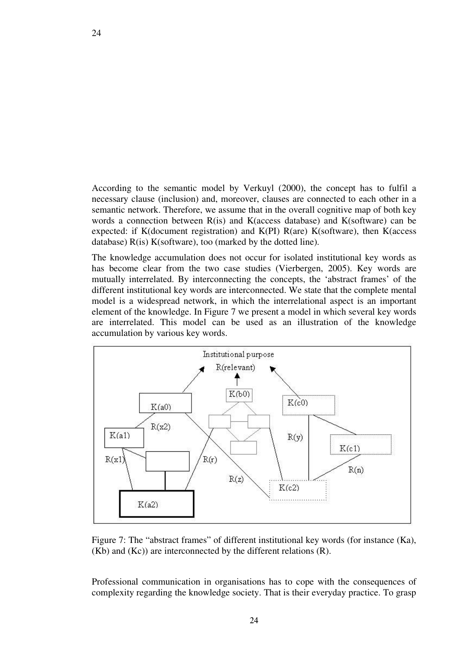According to the semantic model by Verkuyl (2000), the concept has to fulfil a necessary clause (inclusion) and, moreover, clauses are connected to each other in a semantic network. Therefore, we assume that in the overall cognitive map of both key words a connection between R(is) and K(access database) and K(software) can be expected: if K(document registration) and K(PI)  $R(are)$  K(software), then K(access database) R(is) K(software), too (marked by the dotted line).

The knowledge accumulation does not occur for isolated institutional key words as has become clear from the two case studies (Vierbergen, 2005). Key words are mutually interrelated. By interconnecting the concepts, the 'abstract frames' of the different institutional key words are interconnected. We state that the complete mental model is a widespread network, in which the interrelational aspect is an important element of the knowledge. In Figure 7 we present a model in which several key words are interrelated. This model can be used as an illustration of the knowledge accumulation by various key words.



Figure 7: The "abstract frames" of different institutional key words (for instance (Ka), (Kb) and (Kc)) are interconnected by the different relations (R).

Professional communication in organisations has to cope with the consequences of complexity regarding the knowledge society. That is their everyday practice. To grasp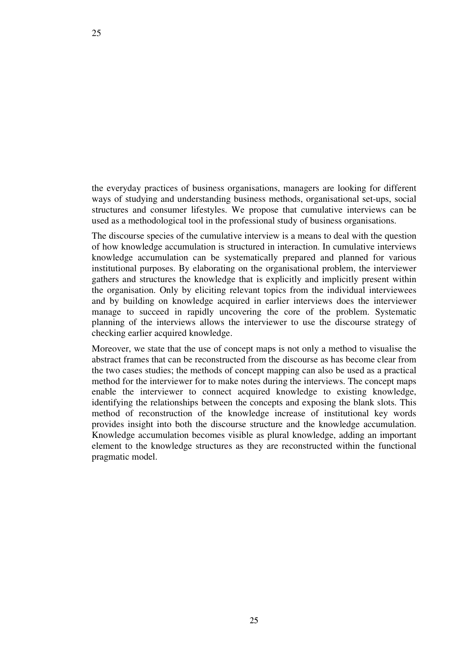the everyday practices of business organisations, managers are looking for different ways of studying and understanding business methods, organisational set-ups, social structures and consumer lifestyles. We propose that cumulative interviews can be used as a methodological tool in the professional study of business organisations.

The discourse species of the cumulative interview is a means to deal with the question of how knowledge accumulation is structured in interaction. In cumulative interviews knowledge accumulation can be systematically prepared and planned for various institutional purposes. By elaborating on the organisational problem, the interviewer gathers and structures the knowledge that is explicitly and implicitly present within the organisation. Only by eliciting relevant topics from the individual interviewees and by building on knowledge acquired in earlier interviews does the interviewer manage to succeed in rapidly uncovering the core of the problem. Systematic planning of the interviews allows the interviewer to use the discourse strategy of checking earlier acquired knowledge.

Moreover, we state that the use of concept maps is not only a method to visualise the abstract frames that can be reconstructed from the discourse as has become clear from the two cases studies; the methods of concept mapping can also be used as a practical method for the interviewer for to make notes during the interviews. The concept maps enable the interviewer to connect acquired knowledge to existing knowledge, identifying the relationships between the concepts and exposing the blank slots. This method of reconstruction of the knowledge increase of institutional key words provides insight into both the discourse structure and the knowledge accumulation. Knowledge accumulation becomes visible as plural knowledge, adding an important element to the knowledge structures as they are reconstructed within the functional pragmatic model.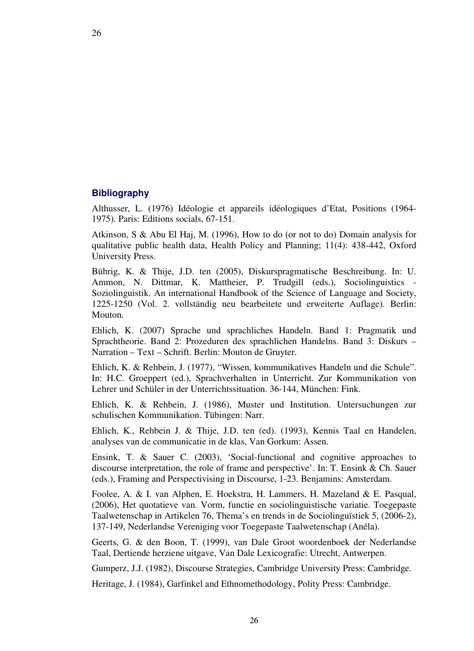# **Bibliography**

Althusser, L. (1976) Idéologie et appareils idéologiques d'Etat, Positions (1964- 1975). Paris: Editions socials, 67-151.

Atkinson, S & Abu El Haj, M. (1996), How to do (or not to do) Domain analysis for qualitative public health data, Health Policy and Planning; 11(4): 438-442, Oxford University Press.

Bührig, K. & Thije, J.D. ten (2005), Diskurspragmatische Beschreibung. In: U. Ammon, N. Dittmar, K. Mattheier, P. Trudgill (eds.), Sociolinguistics - Soziolinguistik. An international Handbook of the Science of Language and Society, 1225-1250 (Vol. 2. vollständig neu bearbeitete und erweiterte Auflage). Berlin: Mouton.

Ehlich, K. (2007) Sprache und sprachliches Handeln. Band 1: Pragmatik und Sprachtheorie. Band 2: Prozeduren des sprachlichen Handelns. Band 3: Diskurs – Narration – Text – Schrift. Berlin: Mouton de Gruyter.

Ehlich, K. & Rehbein, J. (1977), "Wissen, kommunikatives Handeln und die Schule". In: H.C. Groeppert (ed.), Sprachverhalten in Unterricht. Zur Kommunikation von Lehrer und Schüler in der Unterrichtssituation. 36-144, München: Fink.

Ehlich, K. & Rehbein, J. (1986), Muster und Institution. Untersuchungen zur schulischen Kommunikation. Tübingen: Narr.

Ehlich, K., Rehbein J. & Thije, J.D. ten (ed). (1993), Kennis Taal en Handelen, analyses van de communicatie in de klas, Van Gorkum: Assen.

Ensink, T. & Sauer C. (2003), 'Social-functional and cognitive approaches to discourse interpretation, the role of frame and perspective'. In: T. Ensink & Ch. Sauer (eds.), Framing and Perspectivising in Discourse, 1-23. Benjamins: Amsterdam.

Foolee, A. & I. van Alphen, E. Hoekstra, H. Lammers, H. Mazeland & E. Pasqual, (2006), Het quotatieve van. Vorm, functie en sociolinguistische variatie. Toegepaste Taalwetenschap in Artikelen 76, Thema's en trends in de Sociolinguïstiek 5, (2006-2), 137-149, Nederlandse Vereniging voor Toegepaste Taalwetenschap (Anéla).

Geerts, G. & den Boon, T. (1999), van Dale Groot woordenboek der Nederlandse Taal, Dertiende herziene uitgave, Van Dale Lexicografie: Utrecht, Antwerpen.

Gumperz, J.J. (1982), Discourse Strategies, Cambridge University Press: Cambridge.

Heritage, J. (1984), Garfinkel and Ethnomethodology, Polity Press: Cambridge.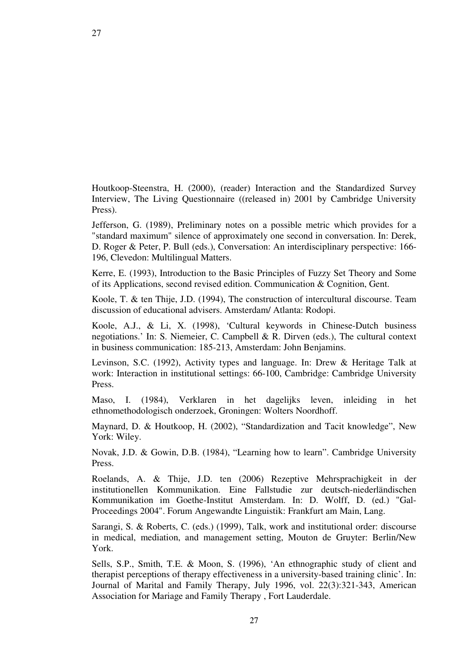Houtkoop-Steenstra, H. (2000), (reader) Interaction and the Standardized Survey Interview, The Living Questionnaire ((released in) 2001 by Cambridge University Press).

Jefferson, G. (1989), Preliminary notes on a possible metric which provides for a "standard maximum" silence of approximately one second in conversation. In: Derek, D. Roger & Peter, P. Bull (eds.), Conversation: An interdisciplinary perspective: 166- 196, Clevedon: Multilingual Matters.

Kerre, E. (1993), Introduction to the Basic Principles of Fuzzy Set Theory and Some of its Applications, second revised edition. Communication & Cognition, Gent.

Koole, T. & ten Thije, J.D. (1994), The construction of intercultural discourse. Team discussion of educational advisers. Amsterdam/ Atlanta: Rodopi.

Koole, A.J., & Li, X. (1998), 'Cultural keywords in Chinese-Dutch business negotiations.' In: S. Niemeier, C. Campbell & R. Dirven (eds.), The cultural context in business communication: 185-213, Amsterdam: John Benjamins.

Levinson, S.C. (1992), Activity types and language. In: Drew & Heritage Talk at work: Interaction in institutional settings: 66-100, Cambridge: Cambridge University Press.

Maso, I. (1984), Verklaren in het dagelijks leven, inleiding in het ethnomethodologisch onderzoek, Groningen: Wolters Noordhoff.

Maynard, D. & Houtkoop, H. (2002), "Standardization and Tacit knowledge", New York: Wiley.

Novak, J.D. & Gowin, D.B. (1984), "Learning how to learn". Cambridge University Press.

Roelands, A. & Thije, J.D. ten (2006) Rezeptive Mehrsprachigkeit in der institutionellen Kommunikation. Eine Fallstudie zur deutsch-niederländischen Kommunikation im Goethe-Institut Amsterdam. In: D. Wolff, D. (ed.) "Gal-Proceedings 2004". Forum Angewandte Linguistik: Frankfurt am Main, Lang.

Sarangi, S. & Roberts, C. (eds.) (1999), Talk, work and institutional order: discourse in medical, mediation, and management setting, Mouton de Gruyter: Berlin/New York.

Sells, S.P., Smith, T.E. & Moon, S. (1996), 'An ethnographic study of client and therapist perceptions of therapy effectiveness in a university-based training clinic'. In: Journal of Marital and Family Therapy, July 1996, vol. 22(3):321-343, American Association for Mariage and Family Therapy , Fort Lauderdale.